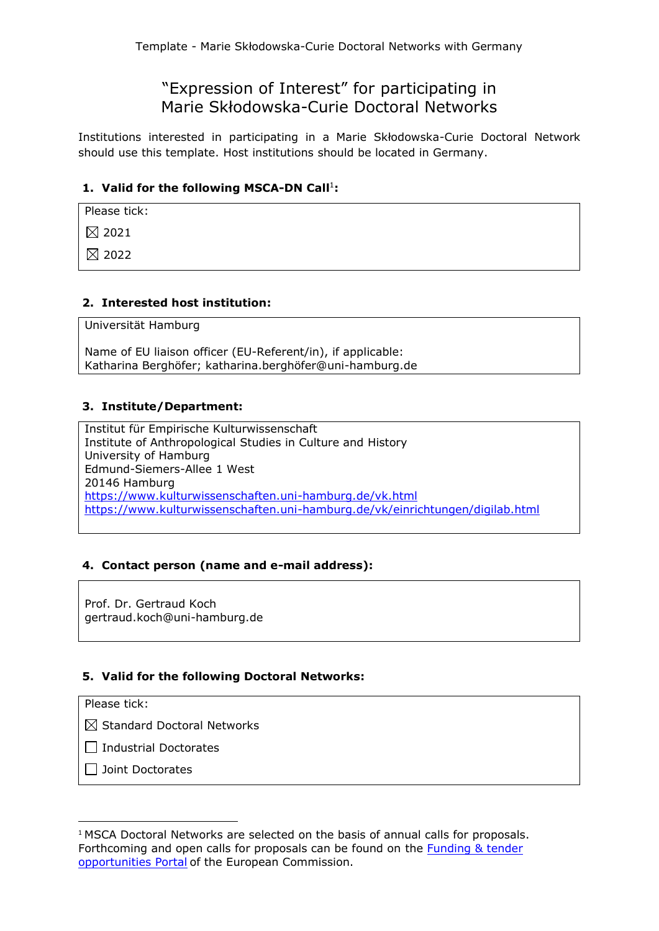# "Expression of Interest" for participating in Marie Skłodowska-Curie Doctoral Networks

Institutions interested in participating in a Marie Skłodowska-Curie Doctoral Network should use this template. Host institutions should be located in Germany.

# 1. Valid for the following MSCA-DN Call<sup>1</sup>:

Please tick:

 $\boxtimes$  2021

 $\boxtimes$  2022

# **2. Interested host institution:**

Universität Hamburg

Name of EU liaison officer (EU-Referent/in), if applicable: Katharina Berghöfer; katharina.berghöfer@uni-hamburg.de

# **3. Institute/Department:**

Institut für Empirische Kulturwissenschaft Institute of Anthropological Studies in Culture and History University of Hamburg Edmund-Siemers-Allee 1 West 20146 Hamburg <https://www.kulturwissenschaften.uni-hamburg.de/vk.html> <https://www.kulturwissenschaften.uni-hamburg.de/vk/einrichtungen/digilab.html>

# **4. Contact person (name and e-mail address):**

Prof. Dr. Gertraud Koch gertraud.koch@uni-hamburg.de

# **5. Valid for the following Doctoral Networks:**

Please tick:

 $\boxtimes$  Standard Doctoral Networks

 $\Box$  Industrial Doctorates

 $\Box$  Joint Doctorates

<sup>&</sup>lt;sup>1</sup> MSCA Doctoral Networks are selected on the basis of annual calls for proposals. Forthcoming and open calls for proposals can be found on the **Funding & tender** [opportunities Portal](https://ec.europa.eu/info/funding-tenders/opportunities/portal/screen/home) of the European Commission.